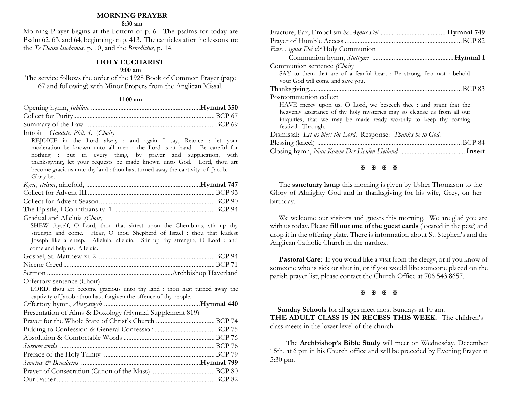# **MORNING PRAYER**

### **8:30 am**

Morning Prayer begins at the bottom of p. 6. The psalms for today are Psalm 62, 63, and 64, beginning on p. 413. The canticles after the lessons are the *Te Deum laudamus,* p. 10, and the *Benedictus*, p. 14.

# **HOLY EUCHARIST**

## **9:00 am**

The service follows the order of the 1928 Book of Common Prayer (page 67 and following) with Minor Propers from the Anglican Missal.

### **11:00 am**

| Introit Gaudete, Phil. 4. (Choir) |  |
|-----------------------------------|--|

 REJOICE in the Lord alway : and again I say, Rejoice : let your moderation be known unto all men : the Lord is at hand. Be careful for nothing : but in every thing, by prayer and supplication, with thanksgiving, let your requests be made known unto God. Lord, thou art become gracious unto thy land : thou hast turned away the captivity of Jacob. Glory be.

| Gradual and Alleluia (Choir) |  |
|------------------------------|--|

 SHEW thyself, O Lord, thou that sittest upon the Cherubims, stir up thy strength and come. Hear, O thou Shepherd of Israel : thou that leadest Joseph like a sheep. Alleluia, alleluia. Stir up thy strength, O Lord : and come and help us. Alleluia.

Sermon .............................................................................Archbishop Haverland

Offertory sentence (Choir)

 LORD, thou art become gracious unto thy land : thou hast turned away the captivity of Jacob : thou hast forgiven the offence of thy people.

| Presentation of Alms & Doxology (Hymnal Supplement 819) |  |
|---------------------------------------------------------|--|
|                                                         |  |
|                                                         |  |
|                                                         |  |
|                                                         |  |
|                                                         |  |
|                                                         |  |
|                                                         |  |
|                                                         |  |

| Ecee, Agnus Dei & Holy Communion                                                                                                                                                                                                        |
|-----------------------------------------------------------------------------------------------------------------------------------------------------------------------------------------------------------------------------------------|
|                                                                                                                                                                                                                                         |
| Communion sentence (Choir)                                                                                                                                                                                                              |
| SAY to them that are of a fearful heart : Be strong, fear not : behold                                                                                                                                                                  |
| your God will come and save you.                                                                                                                                                                                                        |
|                                                                                                                                                                                                                                         |
| Postcommunion collect                                                                                                                                                                                                                   |
| HAVE mercy upon us, O Lord, we beseech thee : and grant that the<br>heavenly assistance of thy holy mysteries may so cleanse us from all our<br>iniquities, that we may be made ready worthily to keep thy coming<br>festival. Through. |
| Dismissal: Let us bless the Lord. Response: Thanks be to God.                                                                                                                                                                           |
|                                                                                                                                                                                                                                         |
|                                                                                                                                                                                                                                         |

#### **H H H H**

The **sanctuary lamp** this morning is given by Usher Thomason to the Glory of Almighty God and in thanksgiving for his wife, Grey, on her birthday.

We welcome our visitors and guests this morning. We are glad you are with us today. Please **fill out one of the guest cards** (located in the pew) and drop it in the offering plate. There is information about St. Stephen's and the Anglican Catholic Church in the narthex.

**Pastoral Care:** If you would like a visit from the clergy, or if you know of someone who is sick or shut in, or if you would like someone placed on the parish prayer list, please contact the Church Office at 706 543.8657.

## **A A A A**

 **Sunday Schools** for all ages meet most Sundays at 10 am. **THE ADULT CLASS IS IN RECESS THIS WEEK.** The children's class meets in the lower level of the church.

 The **Archbishop's Bible Study** will meet on Wednesday, December 15th, at 6 pm in his Church office and will be preceded by Evening Prayer at 5:30 pm.